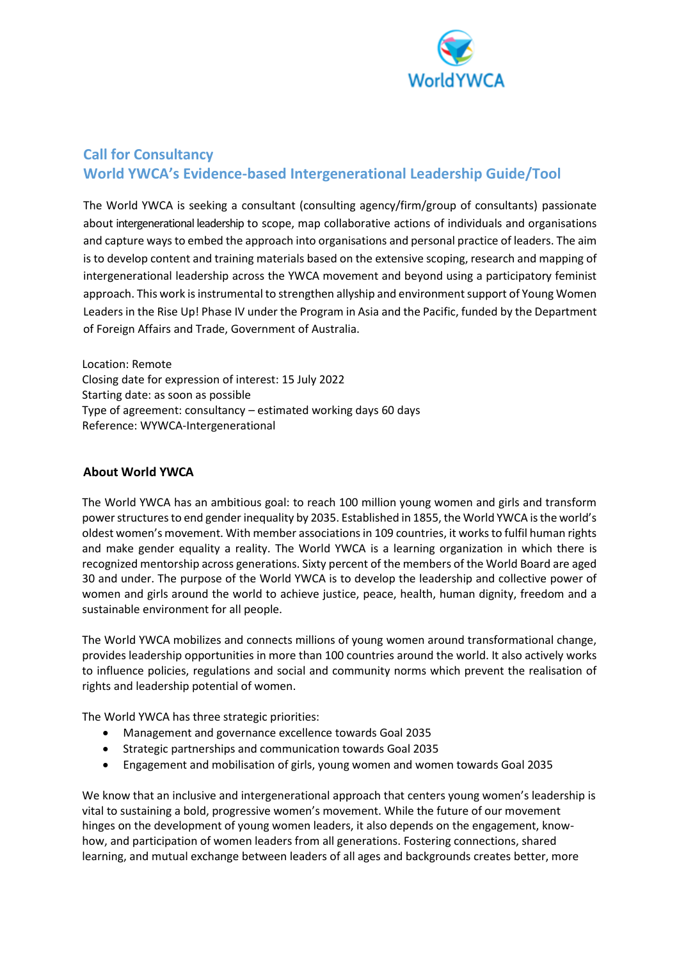

# **Call for Consultancy World YWCA's Evidence-based Intergenerational Leadership Guide/Tool**

The World YWCA is seeking a consultant (consulting agency/firm/group of consultants) passionate about intergenerational leadership to scope, map collaborative actions of individuals and organisations and capture ways to embed the approach into organisations and personal practice of leaders. The aim is to develop content and training materials based on the extensive scoping, research and mapping of intergenerational leadership across the YWCA movement and beyond using a participatory feminist approach. This work is instrumental to strengthen allyship and environment support of Young Women Leaders in the Rise Up! Phase IV under the Program in Asia and the Pacific, funded by the Department of Foreign Affairs and Trade, Government of Australia.

Location: Remote Closing date for expression of interest: 15 July 2022 Starting date: as soon as possible Type of agreement: consultancy – estimated working days 60 days Reference: WYWCA-Intergenerational

### **About World YWCA**

The World YWCA has an ambitious goal: to reach 100 million young women and girls and transform power structures to end gender inequality by 2035. Established in 1855, the World YWCA is the world's oldest women's movement. With member associations in 109 countries, it works to fulfil human rights and make gender equality a reality. The World YWCA is a learning organization in which there is recognized mentorship across generations. Sixty percent of the members of the World Board are aged 30 and under. The purpose of the World YWCA is to develop the leadership and collective power of women and girls around the world to achieve justice, peace, health, human dignity, freedom and a sustainable environment for all people.

The World YWCA mobilizes and connects millions of young women around transformational change, provides leadership opportunities in more than 100 countries around the world. It also actively works to influence policies, regulations and social and community norms which prevent the realisation of rights and leadership potential of women.

The World YWCA has three strategic priorities:

- Management and governance excellence towards Goal 2035
- Strategic partnerships and communication towards Goal 2035
- Engagement and mobilisation of girls, young women and women towards Goal 2035

We know that an inclusive and intergenerational approach that centers young women's leadership is vital to sustaining a bold, progressive women's movement. While the future of our movement hinges on the development of young women leaders, it also depends on the engagement, knowhow, and participation of women leaders from all generations. Fostering connections, shared learning, and mutual exchange between leaders of all ages and backgrounds creates better, more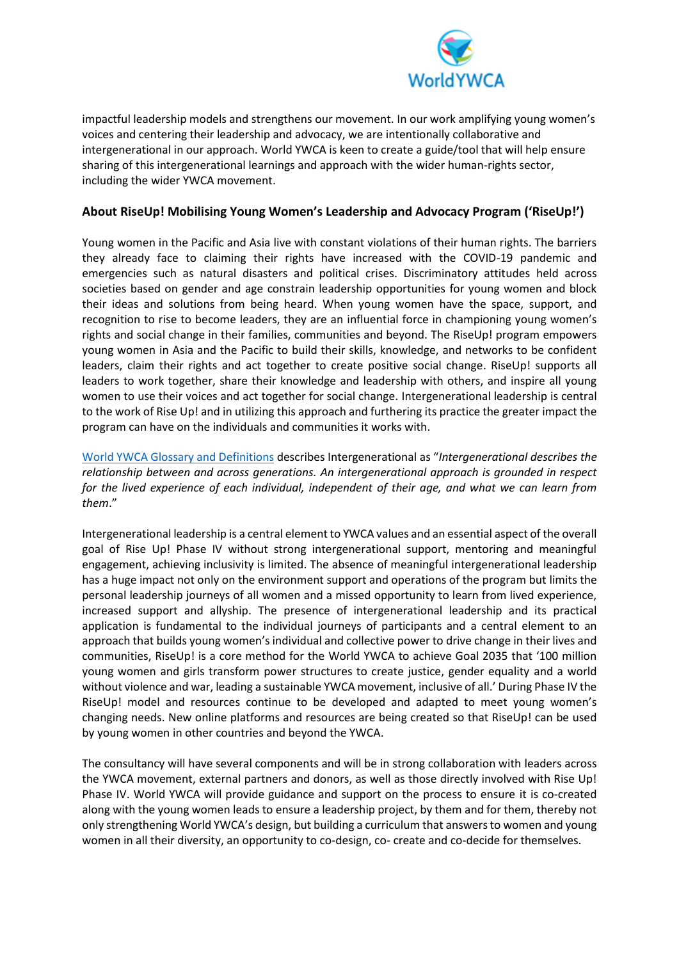

impactful leadership models and strengthens our movement. In our work amplifying young women's voices and centering their leadership and advocacy, we are intentionally collaborative and intergenerational in our approach. World YWCA is keen to create a guide/tool that will help ensure sharing of this intergenerational learnings and approach with the wider human-rights sector, including the wider YWCA movement.

## **About RiseUp! Mobilising Young Women's Leadership and Advocacy Program ('RiseUp!')**

Young women in the Pacific and Asia live with constant violations of their human rights. The barriers they already face to claiming their rights have increased with the COVID-19 pandemic and emergencies such as natural disasters and political crises. Discriminatory attitudes held across societies based on gender and age constrain leadership opportunities for young women and block their ideas and solutions from being heard. When young women have the space, support, and recognition to rise to become leaders, they are an influential force in championing young women's rights and social change in their families, communities and beyond. The RiseUp! program empowers young women in Asia and the Pacific to build their skills, knowledge, and networks to be confident leaders, claim their rights and act together to create positive social change. RiseUp! supports all leaders to work together, share their knowledge and leadership with others, and inspire all young women to use their voices and act together for social change. Intergenerational leadership is central to the work of Rise Up! and in utilizing this approach and furthering its practice the greater impact the program can have on the individuals and communities it works with.

[World YWCA Glossary and Definitions](https://www.worldywca.org/wp-content/uploads/2020/12/1.World-YWCA-Movement-Glossary-and-Definitions-1-3.pdf) describes Intergenerational as "*Intergenerational describes the relationship between and across generations. An intergenerational approach is grounded in respect for the lived experience of each individual, independent of their age, and what we can learn from them*."

Intergenerational leadership is a central element to YWCA values and an essential aspect of the overall goal of Rise Up! Phase IV without strong intergenerational support, mentoring and meaningful engagement, achieving inclusivity is limited. The absence of meaningful intergenerational leadership has a huge impact not only on the environment support and operations of the program but limits the personal leadership journeys of all women and a missed opportunity to learn from lived experience, increased support and allyship. The presence of intergenerational leadership and its practical application is fundamental to the individual journeys of participants and a central element to an approach that builds young women's individual and collective power to drive change in their lives and communities, RiseUp! is a core method for the World YWCA to achieve Goal 2035 that '100 million young women and girls transform power structures to create justice, gender equality and a world without violence and war, leading a sustainable YWCA movement, inclusive of all.' During Phase IV the RiseUp! model and resources continue to be developed and adapted to meet young women's changing needs. New online platforms and resources are being created so that RiseUp! can be used by young women in other countries and beyond the YWCA.

The consultancy will have several components and will be in strong collaboration with leaders across the YWCA movement, external partners and donors, as well as those directly involved with Rise Up! Phase IV. World YWCA will provide guidance and support on the process to ensure it is co-created along with the young women leads to ensure a leadership project, by them and for them, thereby not only strengthening World YWCA's design, but building a curriculum that answers to women and young women in all their diversity, an opportunity to co-design, co- create and co-decide for themselves.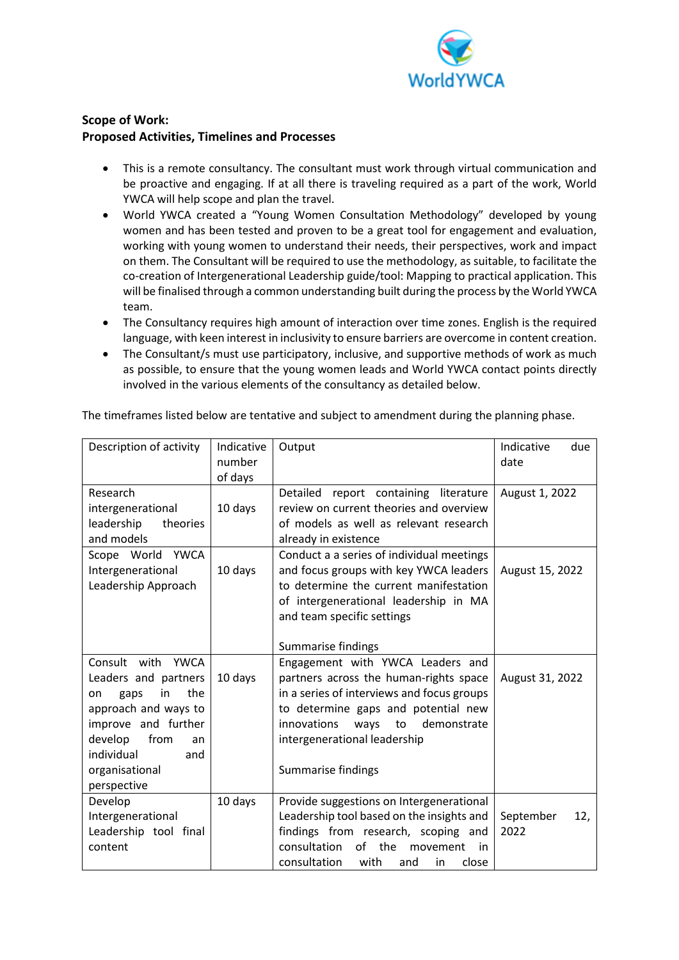

# **Scope of Work: Proposed Activities, Timelines and Processes**

- This is a remote consultancy. The consultant must work through virtual communication and be proactive and engaging. If at all there is traveling required as a part of the work, World YWCA will help scope and plan the travel.
- World YWCA created a "Young Women Consultation Methodology" developed by young women and has been tested and proven to be a great tool for engagement and evaluation, working with young women to understand their needs, their perspectives, work and impact on them. The Consultant will be required to use the methodology, as suitable, to facilitate the co-creation of Intergenerational Leadership guide/tool: Mapping to practical application. This will be finalised through a common understanding built during the process by the World YWCA team.
- The Consultancy requires high amount of interaction over time zones. English is the required language, with keen interest in inclusivity to ensure barriers are overcome in content creation.
- The Consultant/s must use participatory, inclusive, and supportive methods of work as much as possible, to ensure that the young women leads and World YWCA contact points directly involved in the various elements of the consultancy as detailed below.

| Description of activity                                                                                                                                                                               | Indicative<br>number | Output                                                                                                                                                                                                                                                                | Indicative<br>due<br>date |
|-------------------------------------------------------------------------------------------------------------------------------------------------------------------------------------------------------|----------------------|-----------------------------------------------------------------------------------------------------------------------------------------------------------------------------------------------------------------------------------------------------------------------|---------------------------|
|                                                                                                                                                                                                       | of days              |                                                                                                                                                                                                                                                                       |                           |
| Research<br>intergenerational<br>leadership<br>theories                                                                                                                                               | 10 days              | Detailed report containing literature<br>review on current theories and overview<br>of models as well as relevant research                                                                                                                                            | August 1, 2022            |
| and models                                                                                                                                                                                            |                      | already in existence                                                                                                                                                                                                                                                  |                           |
| Scope World YWCA<br>Intergenerational<br>Leadership Approach                                                                                                                                          | 10 days              | Conduct a a series of individual meetings<br>and focus groups with key YWCA leaders<br>to determine the current manifestation<br>of intergenerational leadership in MA<br>and team specific settings                                                                  | August 15, 2022           |
|                                                                                                                                                                                                       |                      | Summarise findings                                                                                                                                                                                                                                                    |                           |
| Consult with<br>YWCA<br>Leaders and partners<br>the<br>in<br>gaps<br>on<br>approach and ways to<br>improve and further<br>develop<br>from<br>an<br>individual<br>and<br>organisational<br>perspective | 10 days              | Engagement with YWCA Leaders and<br>partners across the human-rights space<br>in a series of interviews and focus groups<br>to determine gaps and potential new<br><i>innovations</i><br>ways to<br>demonstrate<br>intergenerational leadership<br>Summarise findings | August 31, 2022           |
| Develop<br>Intergenerational<br>Leadership tool final<br>content                                                                                                                                      | 10 days              | Provide suggestions on Intergenerational<br>Leadership tool based on the insights and<br>findings from research, scoping and<br>of the<br>consultation<br>movement<br>in<br>consultation<br>with<br>close<br>and<br>in                                                | September<br>12,<br>2022  |

The timeframes listed below are tentative and subject to amendment during the planning phase.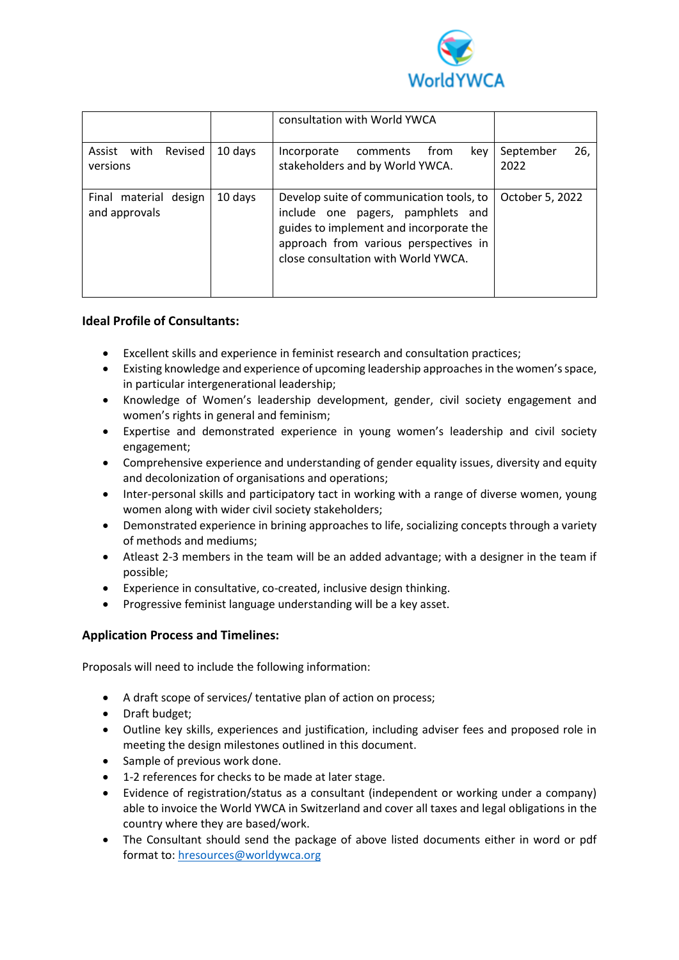

|                                           |         | consultation with World YWCA                                                                                                                                                                             |                          |
|-------------------------------------------|---------|----------------------------------------------------------------------------------------------------------------------------------------------------------------------------------------------------------|--------------------------|
| Assist<br>Revised<br>with<br>versions     | 10 days | from<br>key<br>Incorporate<br>comments<br>stakeholders and by World YWCA.                                                                                                                                | 26,<br>September<br>2022 |
| design<br>Final material<br>and approvals | 10 days | Develop suite of communication tools, to<br>include one pagers, pamphlets and<br>guides to implement and incorporate the<br>approach from various perspectives in<br>close consultation with World YWCA. | October 5, 2022          |

### **Ideal Profile of Consultants:**

- Excellent skills and experience in feminist research and consultation practices;
- Existing knowledge and experience of upcoming leadership approaches in the women's space, in particular intergenerational leadership;
- Knowledge of Women's leadership development, gender, civil society engagement and women's rights in general and feminism;
- Expertise and demonstrated experience in young women's leadership and civil society engagement;
- Comprehensive experience and understanding of gender equality issues, diversity and equity and decolonization of organisations and operations;
- Inter-personal skills and participatory tact in working with a range of diverse women, young women along with wider civil society stakeholders;
- Demonstrated experience in brining approaches to life, socializing concepts through a variety of methods and mediums;
- Atleast 2-3 members in the team will be an added advantage; with a designer in the team if possible;
- Experience in consultative, co-created, inclusive design thinking.
- Progressive feminist language understanding will be a key asset.

## **Application Process and Timelines:**

Proposals will need to include the following information:

- A draft scope of services/ tentative plan of action on process;
- Draft budget;
- Outline key skills, experiences and justification, including adviser fees and proposed role in meeting the design milestones outlined in this document.
- Sample of previous work done.
- 1-2 references for checks to be made at later stage.
- Evidence of registration/status as a consultant (independent or working under a company) able to invoice the World YWCA in Switzerland and cover all taxes and legal obligations in the country where they are based/work.
- The Consultant should send the package of above listed documents either in word or pdf format to: [hresources@worldywca.org](mailto:hresources@worldywca.org)